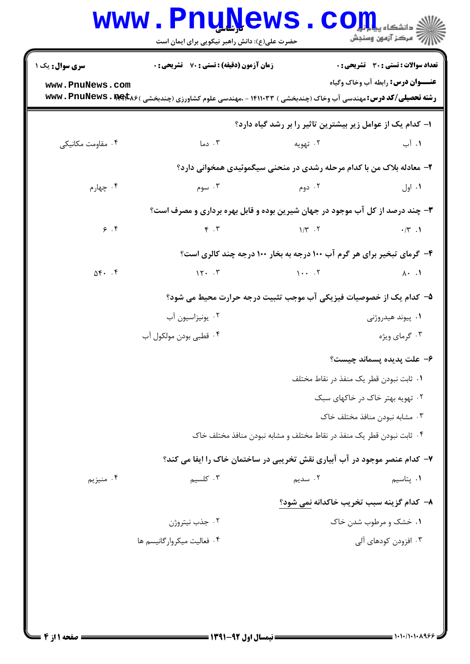|                                                                              | www.PnuNews.<br>حضرت علی(ع): دانش راهبر نیکویی برای ایمان است |                                                                                                                              | $\mathbf{C}\mathbf{O}\mathbf{H}$                                                         |  |
|------------------------------------------------------------------------------|---------------------------------------------------------------|------------------------------------------------------------------------------------------------------------------------------|------------------------------------------------------------------------------------------|--|
| سری سوال: یک ۱<br>www.PnuNews.com                                            | <b>زمان آزمون (دقیقه) : تستی : 70 ٪ تشریحی : 0</b>            | <b>رشته تحصیلی/کد درس:</b> مهندسی آب وخاک (چندبخشی ) ۱۴۱۱۰۳۳ - ،مهندسی علوم کشاورزی (چندبخشی ) <b>bww . PnuNews . Pet</b> k۶ | <b>تعداد سوالات : تستی : 30 ٪ تشریحی : 0</b><br><b>عنـــوان درس:</b> رابطه آب وخاک وگیاه |  |
|                                                                              |                                                               | ا- کدام یک از عوامل زیر بیشترین تاثیر را بر رشد گیاه دارد؟                                                                   |                                                                                          |  |
| ۰۴ مقاومت مكانيكي                                                            | ۰۳ دما                                                        | ۰۲ تهویه                                                                                                                     | ۰۱. آب                                                                                   |  |
|                                                                              |                                                               | ۲- معادله بلاک من با کدام مرحله رشدی در منحنی سیگموئیدی همخوانی دارد؟                                                        |                                                                                          |  |
| ۰۴ چهارم                                                                     | ۰۳ سوم                                                        | ۰۲ دوم                                                                                                                       | ۰۱ اول                                                                                   |  |
| ۳- چند درصد از کل آب موجود در جهان شیرین بوده و قابل بهره برداری و مصرف است؟ |                                                               |                                                                                                                              |                                                                                          |  |
| 9.5                                                                          | $\mathfrak{F}$ . $\mathfrak{r}$                               | $\frac{1}{T}$ . T                                                                                                            | $\cdot$ /٣.1                                                                             |  |
|                                                                              |                                                               | ۴- گرمای تبخیر برای هر گرم آب ۱۰۰ درجه به بخار ۱۰۰ درجه چند کالری است؟                                                       |                                                                                          |  |
| $\Delta \mathbf{f}$ . $\mathbf{f}$                                           | 15.7                                                          | $\mathcal{L}$ . The set of $\mathcal{L}$                                                                                     | $\lambda \cdot \lambda$                                                                  |  |
|                                                                              |                                                               | ۵– کدام یک از خصوصیات فیزیکی آب موجب تثبیت درجه حرارت محیط می شود؟                                                           |                                                                                          |  |
|                                                                              | ۰۲ يونيزاسيون آب                                              |                                                                                                                              | ۰۱ پیوند هیدروژنی                                                                        |  |
| ۰۴ قطبی بودن مولکول آب                                                       |                                                               |                                                                                                                              | ۰۳ گرمای ویژه                                                                            |  |
|                                                                              |                                                               |                                                                                                                              | ۶– علت پدیده پسماند چیست؟                                                                |  |
|                                                                              |                                                               | ٠١ ثابت نبودن قطر يک منفذ در نقاط مختلف                                                                                      |                                                                                          |  |
|                                                                              |                                                               |                                                                                                                              | ۲. تهویه بهتر خاک در خاکهای سبک                                                          |  |
|                                                                              |                                                               |                                                                                                                              | ۰۳ مشابه نبودن منافذ مختلف خاک                                                           |  |
|                                                                              |                                                               | ۰۴ ثابت نبودن قطر یک منفذ در نقاط مختلف و مشابه نبودن منافذ مختلف خاک                                                        |                                                                                          |  |
|                                                                              |                                                               | ۷- کدام عنصر موجود در آب آبیاری نقش تخریبی در ساختمان خاک را ایفا می کند؟                                                    |                                                                                          |  |
| ۰۴ منيزيم                                                                    | ۰۳ کلسیم                                                      | ۲. سدیم                                                                                                                      | ۰۱ پتاسیم                                                                                |  |
|                                                                              |                                                               | ۸- کدام گزینه سبب تخریب خاکدانه نمی شود؟                                                                                     |                                                                                          |  |
|                                                                              | ۰۲ جذب نيتروژن                                                |                                                                                                                              | ۰۱ خشک و مرطوب شدن خاک                                                                   |  |
|                                                                              | ۰۴ فعالیت میکروار گانیسم ها                                   |                                                                                                                              | ۰۳ افزودن کودهای آلی                                                                     |  |
|                                                                              |                                                               |                                                                                                                              |                                                                                          |  |
|                                                                              |                                                               |                                                                                                                              |                                                                                          |  |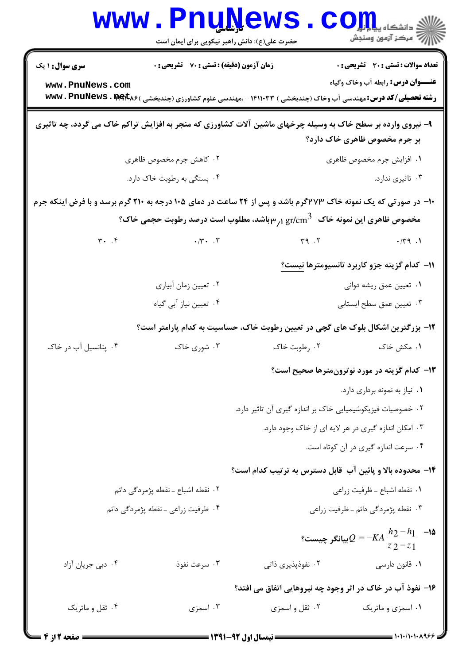|                                                      | <b>WWW.FUUWEWS</b><br>حضرت علی(ع): دانش راهبر نیکویی برای ایمان است |                                                                                                                                                                                      | $\mathbf{COJJ}$ : دانشڪاه پيا<br>\  // مرکز آزمون وسنجش                                  |  |
|------------------------------------------------------|---------------------------------------------------------------------|--------------------------------------------------------------------------------------------------------------------------------------------------------------------------------------|------------------------------------------------------------------------------------------|--|
| <b>سری سوال : ۱ یک</b>                               | <b>زمان آزمون (دقیقه) : تستی : 70 ٪ تشریحی : 0</b>                  |                                                                                                                                                                                      | <b>تعداد سوالات : تستی : 30 - تشریحی : 0</b><br><b>عنـــوان درس:</b> رابطه آب وخاک وگیاه |  |
| www.PnuNews.com                                      |                                                                     | <b>رشته تحصیلی/کد درس:</b> مهندسی آب وخاک (چندبخشی ) ۱۴۱۱۰۳۳ - ،مهندسی علوم کشاورزی (چندبخشی ) <b>www . PnuNews . met</b><br><b>در استه تحصیلی/کد درس:</b> مهندسی آب وخاک (چندبخشی ) |                                                                                          |  |
|                                                      |                                                                     | ۹- نیروی وارده بر سطح خاک به وسیله چرخهای ماشین آلات کشاورزی که منجر به افزایش تراکم خاک می گردد، چه تاثیری                                                                          | بر جرم مخصوص ظاهری خاک دارد؟                                                             |  |
|                                                      | ۰۲ کاهش جرم مخصوص ظاهری                                             |                                                                                                                                                                                      | ٠١ افزايش جرم مخصوص ظاهري                                                                |  |
|                                                      | ۰۴ بستگی به رطوبت خاک دارد.                                         |                                                                                                                                                                                      | ۰۳ تاثیری ندارد.                                                                         |  |
|                                                      |                                                                     | <b>۱۰- در صورتی که یک نمونه خاک ۲۷۳گرم باشد و پس از ۲۴ ساعت در دمای ۱۰۵ درجه به ۲۱۰ گرم برسد و با فرض اینکه جرم</b>                                                                  |                                                                                          |  |
|                                                      |                                                                     |                                                                                                                                                                                      |                                                                                          |  |
| $\mathbf{r}$ . $\mathbf{r}$                          | $\cdot$ / $\cdot$ . $\cdot$                                         | $Y^q$ . $Y^q$                                                                                                                                                                        | .779.1                                                                                   |  |
|                                                      |                                                                     |                                                                                                                                                                                      | 11– كدام گزينه جزو كاربرد تانسيومترها نيست <u>؟</u>                                      |  |
|                                                      | ۰۲ تعیین زمان آبیاری                                                |                                                                                                                                                                                      | ۰۱ تعیین عمق ریشه دوانی                                                                  |  |
|                                                      | ۰۴ تعیین نیاز آبی گیاه                                              |                                                                                                                                                                                      | ۰۳ تعیین عمق سطح ایستابی                                                                 |  |
|                                                      |                                                                     | ۱۲- بزرگترین اشکال بلوک های گچی در تعیین رطوبت خاک، حساسیت به کدام پارامتر است؟                                                                                                      |                                                                                          |  |
| ۰۴ پتانسیل آب در خاک                                 | ۰۳ شوری خاک                                                         | ۰۲ رطوبت خاک                                                                                                                                                                         | ۰۱ مکش خاک                                                                               |  |
|                                                      |                                                                     |                                                                                                                                                                                      | ۱۳- کدام گزینه در مورد نوترونمترها صحیح است؟                                             |  |
|                                                      |                                                                     |                                                                                                                                                                                      | ۰۱ نیاز به نمونه برداری دارد.                                                            |  |
|                                                      |                                                                     | ۰۲ خصوصیات فیزیکوشیمیایی خاک بر اندازه گیری آن تاثیر دارد.                                                                                                                           |                                                                                          |  |
| ۰۳ امکان اندازه گیری در هر لایه ای از خاک وجود دارد. |                                                                     |                                                                                                                                                                                      |                                                                                          |  |
|                                                      |                                                                     |                                                                                                                                                                                      | ۰۴ سرعت اندازه گیری در آن کوتاه است.                                                     |  |
|                                                      |                                                                     | ۱۴– محدوده بالا و پائین آب قابل دسترس به ترتیب کدام است؟                                                                                                                             |                                                                                          |  |
|                                                      | ۰۲ نقطه اشباع ــ نقطه پژمردگی دائم                                  |                                                                                                                                                                                      | ٠١ نقطه اشباع ـ ظرفيت زراعي                                                              |  |
| ۰۴ ظرفیت زراعی ـ نقطه پژمردگی دائم                   |                                                                     |                                                                                                                                                                                      | ۰۳ نقطه پژمردگی دائم ـ ظرفیت زراعی                                                       |  |
|                                                      |                                                                     |                                                                                                                                                                                      | °، يبانگر چيست $Q = - K A \, \frac{h_2 - h_1}{2} \,$ -۱۵<br>$z_2 - z_1$                  |  |
| ۰۴ دبی جریان آزاد                                    | ۰۳ سرعت نفوذ                                                        | ۰۲ نفوذپذیری ذاتی                                                                                                                                                                    | ٠١ قانون دارسي                                                                           |  |
|                                                      |                                                                     | ۱۶- نفوذ آب در خاک در اثر وجود چه نیروهایی اتفاق می افتد؟                                                                                                                            |                                                                                          |  |
| ۰۴ ثقل و ماتریک                                      | ۰۳ اسمزی                                                            | ۰۲ ثقل و اسمزي                                                                                                                                                                       | ۰۱ اسمزی و ماتریک                                                                        |  |
| صفحه 12ز 4                                           |                                                                     | = نیمسال اول 92-1391 =                                                                                                                                                               | $=$ ۱۰۱۰/۱۰۱۰۸۹۶۶ $\preceq$                                                              |  |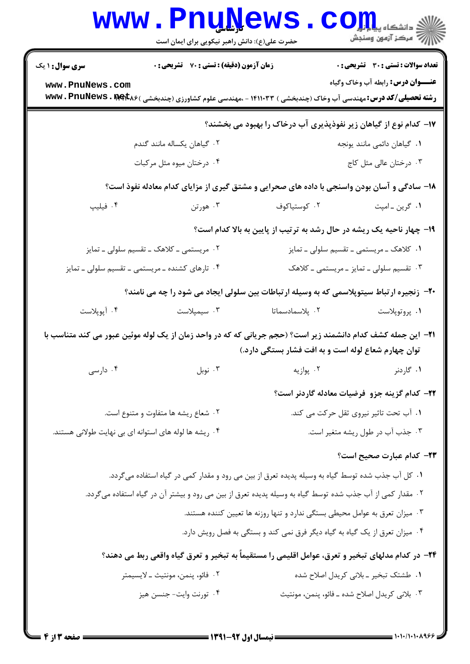|                                                                                                                                                                             | <b>www.PnuNews</b><br>حضرت علی(ع): دانش راهبر نیکویی برای ایمان است                                                          |                                                                             | ران دانشگاه پیام برای کار<br>۱۳۸۸ - مکن آزمهن وسنجش                   |  |
|-----------------------------------------------------------------------------------------------------------------------------------------------------------------------------|------------------------------------------------------------------------------------------------------------------------------|-----------------------------------------------------------------------------|-----------------------------------------------------------------------|--|
| <b>سری سوال : ۱ یک</b>                                                                                                                                                      | زمان آزمون (دقیقه) : تستی : 70 ٪ تشریحی : 0                                                                                  |                                                                             | <b>تعداد سوالات : تستی : 30 ٪ تشریحی : 0</b>                          |  |
| www.PnuNews.com                                                                                                                                                             | <b>رشته تحصیلی/کد درس:</b> مهندسی آب وخاک (چندبخشی ) ۱۴۱۱۰۳۳ - ،مهندسی علوم کشاورزی (چندبخشی ) <b>www . PnuNews . met</b> k۶ |                                                                             | <b>عنـــوان درس:</b> رابطه آب وخاک وگیاه                              |  |
|                                                                                                                                                                             |                                                                                                                              |                                                                             | ۱۷– کدام نوع از گیاهان زیر نفوذپذیری آب درخاک را بهبود می بخشند؟      |  |
|                                                                                                                                                                             | ۰۲ گیاهان یکساله مانند گندم                                                                                                  |                                                                             | ٠١ گياهان دائمي مانند يونجه                                           |  |
|                                                                                                                                                                             | ۰۴ درختان میوه مثل مرکبات                                                                                                    |                                                                             | ۰۳ درختان عالی مثل کاج                                                |  |
|                                                                                                                                                                             | ۱۸– سادگی و آسان بودن واسنجی با داده های صحرایی و مشتق گیری از مزایای کدام معادله نفوذ است؟                                  |                                                                             |                                                                       |  |
| ۰۴ فیلیپ                                                                                                                                                                    | ۰۳ هورتن                                                                                                                     | ۰۲ کوستیاکوف                                                                | ٠١ گرين ـ امپت                                                        |  |
|                                                                                                                                                                             |                                                                                                                              |                                                                             | ۱۹- چهار ناحیه یک ریشه در حال رشد به ترتیب از پایین به بالا کدام است؟ |  |
|                                                                                                                                                                             | ۰۲ مریستمی ــ کلاهک ــ تقسیم سلولی ــ تمایز                                                                                  |                                                                             | ۰۱ کلاهک ــ مریستمی ــ تقسیم سلولی ــ تمایز                           |  |
|                                                                                                                                                                             | ۰۴ تارهای کشنده ـ مریستمی ـ تقسیم سلولی ـ تمایز                                                                              |                                                                             | ۰۳ تقسیم سلولی ـ تمایز ـ مریستمی ـ کلاهک                              |  |
|                                                                                                                                                                             | +۲- زنجیره ارتباط سیتوپلاسمی که به وسیله ارتباطات بین سلولی ایجاد می شود را چه می نامند؟                                     |                                                                             |                                                                       |  |
| ۰۴ آپوپلاست                                                                                                                                                                 | ۰۳ سیمپلاست                                                                                                                  | ۰۲ پلاسمادسماتا                                                             | ۰۱ پروتوپلاست                                                         |  |
| <b>۳۱</b> – این جمله کشف کدام دانشمند زیر است؟ (حجم جریانی که که در واحد زمان از یک لوله موئین عبور می کند متناسب با<br>توان چهارم شعاع لوله است و به افت فشار بستگی دارد.) |                                                                                                                              |                                                                             |                                                                       |  |
| ۰۴ دارسی                                                                                                                                                                    | $\cdot$ نوبل                                                                                                                 | ۰۲ پوازیه                                                                   | ۰۱ گاردنر                                                             |  |
|                                                                                                                                                                             |                                                                                                                              |                                                                             | <b>۲۲</b> – کدام گزینه جزو فرضیات معادله گاردنر است؟                  |  |
|                                                                                                                                                                             | ۰۲ شعاع ریشه ها متفاوت و متنوع است.                                                                                          |                                                                             | ۰۱ آب تحت تاثیر نیروی ثقل حرکت می کند.                                |  |
|                                                                                                                                                                             | ۰۴ ریشه ها لوله های استوانه ای بی نهایت طولانی هستند.                                                                        |                                                                             | ۰۳ جذب آب در طول ریشه متغیر است.                                      |  |
|                                                                                                                                                                             |                                                                                                                              |                                                                             | <b>۲۳</b> – کدام عبارت صحیح است؟                                      |  |
|                                                                                                                                                                             | ۰۱ کل آب جذب شده توسط گیاه به وسیله پدیده تعرق از بین می رود و مقدار کمی در گیاه استفاده میگردد.                             |                                                                             |                                                                       |  |
|                                                                                                                                                                             | ۰۲ مقدار کمی از آب جذب شده توسط گیاه به وسیله پدیده تعرق از بین می رود و بیشتر آن در گیاه استفاده میگردد.                    |                                                                             |                                                                       |  |
| ۰۳ میزان تعرق به عوامل محیطی بستگی ندارد و تنها روزنه ها تعیین کننده هستند.                                                                                                 |                                                                                                                              |                                                                             |                                                                       |  |
|                                                                                                                                                                             |                                                                                                                              | ۰۴ میزان تعرق از یک گیاه به گیاه دیگر فرق نمی کند و بستگی به فصل رویش دارد. |                                                                       |  |
|                                                                                                                                                                             | ۲۴– در کدام مدلهای تبخیر و تعرق، عوامل اقلیمی را مستقیماً به تبخیر و تعرق گیاه واقعی ربط می دهند؟                            |                                                                             |                                                                       |  |
|                                                                                                                                                                             | ٢.  فائو، پنمن، مونتيث ــ لايسيمتر                                                                                           |                                                                             | ۰۱ طشتک تبخیر ـ بلانی کریدل اصلاح شده                                 |  |
|                                                                                                                                                                             | ۰۴ تورنت وايت- جنسن هيز                                                                                                      |                                                                             | ۰۳ بلانی کریدل اصلاح شده ــ فائو، پنمن، مونتیث                        |  |
|                                                                                                                                                                             |                                                                                                                              |                                                                             |                                                                       |  |